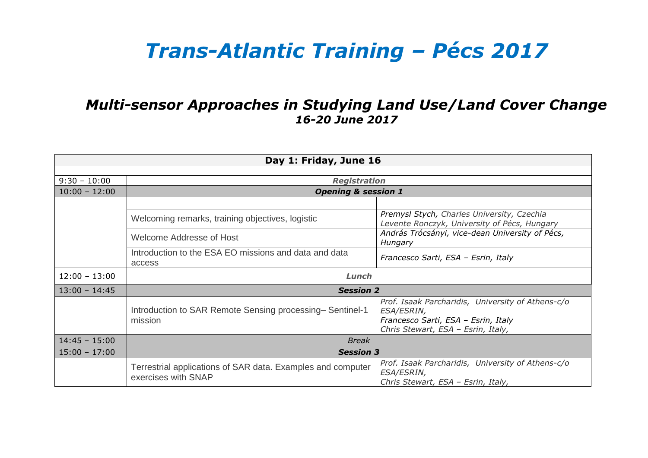## *Trans-Atlantic Training – Pécs 2017*

## *Multi-sensor Approaches in Studying Land Use/Land Cover Change 16-20 June 2017*

| Day 1: Friday, June 16 |                                                                                    |                                                                                                                                              |  |  |
|------------------------|------------------------------------------------------------------------------------|----------------------------------------------------------------------------------------------------------------------------------------------|--|--|
|                        |                                                                                    |                                                                                                                                              |  |  |
| $9:30 - 10:00$         | <b>Registration</b>                                                                |                                                                                                                                              |  |  |
| $10:00 - 12:00$        | <b>Opening &amp; session 1</b>                                                     |                                                                                                                                              |  |  |
|                        |                                                                                    |                                                                                                                                              |  |  |
|                        | Welcoming remarks, training objectives, logistic                                   | Premysl Stych, Charles University, Czechia<br>Levente Ronczyk, University of Pécs, Hungary                                                   |  |  |
|                        | Welcome Addresse of Host                                                           | András Trócsányi, vice-dean University of Pécs,<br>Hungary                                                                                   |  |  |
|                        | Introduction to the ESA EO missions and data and data<br>access                    | Francesco Sarti, ESA - Esrin, Italy                                                                                                          |  |  |
| $12:00 - 13:00$        | Lunch                                                                              |                                                                                                                                              |  |  |
| $13:00 - 14:45$        | <b>Session 2</b>                                                                   |                                                                                                                                              |  |  |
|                        | Introduction to SAR Remote Sensing processing-Sentinel-1<br>mission                | Prof. Isaak Parcharidis, University of Athens-c/o<br>ESA/ESRIN,<br>Francesco Sarti, ESA - Esrin, Italy<br>Chris Stewart, ESA - Esrin, Italy, |  |  |
| $14:45 - 15:00$        | <b>Break</b>                                                                       |                                                                                                                                              |  |  |
| $15:00 - 17:00$        | <b>Session 3</b>                                                                   |                                                                                                                                              |  |  |
|                        | Terrestrial applications of SAR data. Examples and computer<br>exercises with SNAP | Prof. Isaak Parcharidis, University of Athens-c/o<br><b>ESA/ESRIN,</b>                                                                       |  |  |
|                        |                                                                                    | Chris Stewart, ESA - Esrin, Italy,                                                                                                           |  |  |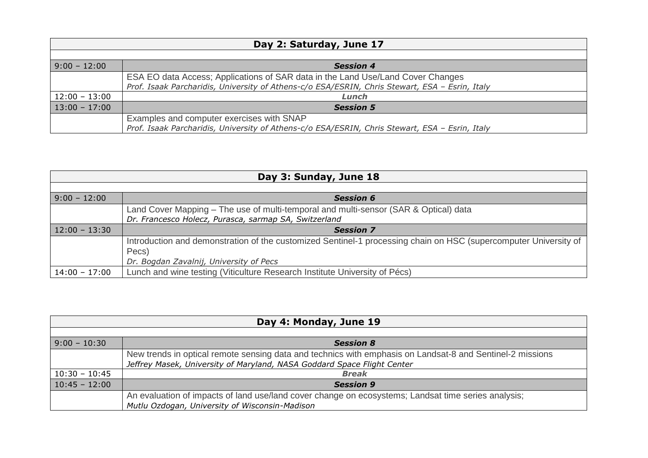| Day 2: Saturday, June 17 |                                                                                                |  |  |
|--------------------------|------------------------------------------------------------------------------------------------|--|--|
|                          |                                                                                                |  |  |
| $9:00 - 12:00$           | <b>Session 4</b>                                                                               |  |  |
|                          | ESA EO data Access; Applications of SAR data in the Land Use/Land Cover Changes                |  |  |
|                          | Prof. Isaak Parcharidis, University of Athens-c/o ESA/ESRIN, Chris Stewart, ESA - Esrin, Italy |  |  |
| $12:00 - 13:00$          | Lunch                                                                                          |  |  |
| $13:00 - 17:00$          | <b>Session 5</b>                                                                               |  |  |
|                          | Examples and computer exercises with SNAP                                                      |  |  |
|                          | Prof. Isaak Parcharidis, University of Athens-c/o ESA/ESRIN, Chris Stewart, ESA - Esrin, Italy |  |  |

| Day 3: Sunday, June 18 |                                                                                                                  |  |
|------------------------|------------------------------------------------------------------------------------------------------------------|--|
|                        |                                                                                                                  |  |
| $9:00 - 12:00$         | <b>Session 6</b>                                                                                                 |  |
|                        | Land Cover Mapping - The use of multi-temporal and multi-sensor (SAR & Optical) data                             |  |
|                        | Dr. Francesco Holecz, Purasca, sarmap SA, Switzerland                                                            |  |
| $12:00 - 13:30$        | <b>Session 7</b>                                                                                                 |  |
|                        | Introduction and demonstration of the customized Sentinel-1 processing chain on HSC (supercomputer University of |  |
|                        | Pecs)                                                                                                            |  |
|                        | Dr. Bogdan Zavalnij, University of Pecs                                                                          |  |
| $14:00 - 17:00$        | Lunch and wine testing (Viticulture Research Institute University of Pécs)                                       |  |

| Day 4: Monday, June 19 |                                                                                                                                                                                      |  |
|------------------------|--------------------------------------------------------------------------------------------------------------------------------------------------------------------------------------|--|
|                        |                                                                                                                                                                                      |  |
| $9:00 - 10:30$         | <b>Session 8</b>                                                                                                                                                                     |  |
|                        | New trends in optical remote sensing data and technics with emphasis on Landsat-8 and Sentinel-2 missions<br>Jeffrey Masek, University of Maryland, NASA Goddard Space Flight Center |  |
| $10:30 - 10:45$        | <b>Break</b>                                                                                                                                                                         |  |
| $10:45 - 12:00$        | <b>Session 9</b>                                                                                                                                                                     |  |
|                        | An evaluation of impacts of land use/land cover change on ecosystems; Landsat time series analysis;<br>Mutlu Ozdogan, University of Wisconsin-Madison                                |  |